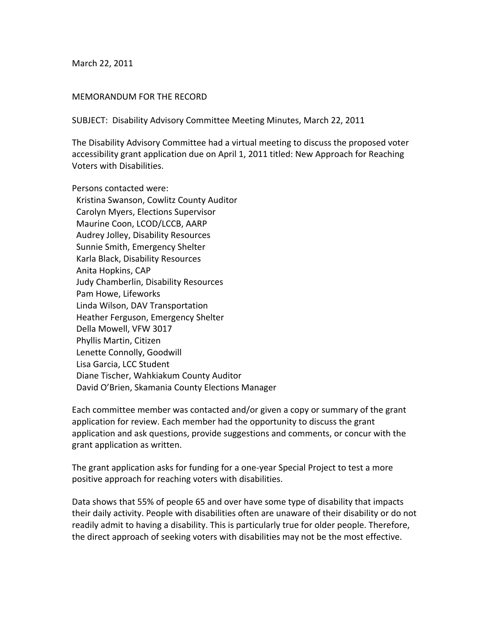March 22, 2011

## MEMORANDUM FOR THE RECORD

SUBJECT: Disability Advisory Committee Meeting Minutes, March 22, 2011

The Disability Advisory Committee had a virtual meeting to discuss the proposed voter accessibility grant application due on April 1, 2011 titled: New Approach for Reaching Voters with Disabilities.

Persons contacted were: Kristina Swanson, Cowlitz County Auditor Carolyn Myers, Elections Supervisor Maurine Coon, LCOD/LCCB, AARP Audrey Jolley, Disability Resources Sunnie Smith, Emergency Shelter Karla Black, Disability Resources Anita Hopkins, CAP Judy Chamberlin, Disability Resources Pam Howe, Lifeworks Linda Wilson, DAV Transportation Heather Ferguson, Emergency Shelter Della Mowell, VFW 3017 Phyllis Martin, Citizen Lenette Connolly, Goodwill Lisa Garcia, LCC Student Diane Tischer, Wahkiakum County Auditor David O'Brien, Skamania County Elections Manager

Each committee member was contacted and/or given a copy or summary of the grant application for review. Each member had the opportunity to discuss the grant application and ask questions, provide suggestions and comments, or concur with the grant application as written.

The grant application asks for funding for a one‐year Special Project to test a more positive approach for reaching voters with disabilities.

Data shows that 55% of people 65 and over have some type of disability that impacts their daily activity. People with disabilities often are unaware of their disability or do not readily admit to having a disability. This is particularly true for older people. Therefore, the direct approach of seeking voters with disabilities may not be the most effective.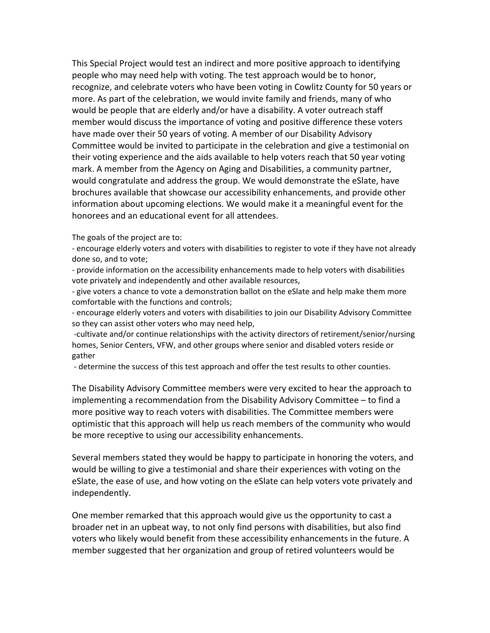This Special Project would test an indirect and more positive approach to identifying people who may need help with voting. The test approach would be to honor, recognize, and celebrate voters who have been voting in Cowlitz County for 50 years or more. As part of the celebration, we would invite family and friends, many of who would be people that are elderly and/or have a disability. A voter outreach staff member would discuss the importance of voting and positive difference these voters have made over their 50 years of voting. A member of our Disability Advisory Committee would be invited to participate in the celebration and give a testimonial on their voting experience and the aids available to help voters reach that 50 year voting mark. A member from the Agency on Aging and Disabilities, a community partner, would congratulate and address the group. We would demonstrate the eSlate, have brochures available that showcase our accessibility enhancements, and provide other information about upcoming elections. We would make it a meaningful event for the honorees and an educational event for all attendees.

The goals of the project are to:

‐ encourage elderly voters and voters with disabilities to register to vote if they have not already done so, and to vote;

‐ provide information on the accessibility enhancements made to help voters with disabilities vote privately and independently and other available resources,

‐ give voters a chance to vote a demonstration ballot on the eSlate and help make them more comfortable with the functions and controls;

‐ encourage elderly voters and voters with disabilities to join our Disability Advisory Committee so they can assist other voters who may need help,

 ‐cultivate and/or continue relationships with the activity directors of retirement/senior/nursing homes, Senior Centers, VFW, and other groups where senior and disabled voters reside or gather

‐ determine the success of this test approach and offer the test results to other counties.

The Disability Advisory Committee members were very excited to hear the approach to implementing a recommendation from the Disability Advisory Committee – to find a more positive way to reach voters with disabilities. The Committee members were optimistic that this approach will help us reach members of the community who would be more receptive to using our accessibility enhancements.

Several members stated they would be happy to participate in honoring the voters, and would be willing to give a testimonial and share their experiences with voting on the eSlate, the ease of use, and how voting on the eSlate can help voters vote privately and independently.

One member remarked that this approach would give us the opportunity to cast a broader net in an upbeat way, to not only find persons with disabilities, but also find voters who likely would benefit from these accessibility enhancements in the future. A member suggested that her organization and group of retired volunteers would be